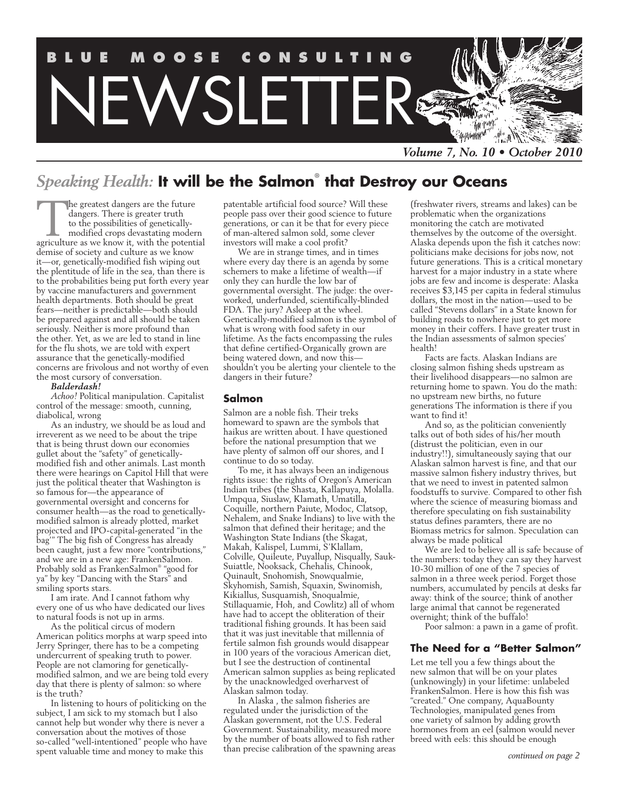

# *Speaking Health:* **It will be the Salmon**®  **that Destroy our Oceans**

The greatest dangers are the future<br>dangers. There is greater truth<br>to the possibilities of genetically-<br>modified crops devastating moder<br>agriculture as we know it, with the potenti dangers. There is greater truth to the possibilities of geneticallymodified crops devastating modern agriculture as we know it, with the potential demise of society and culture as we know it—or, genetically-modified fish wiping out the plentitude of life in the sea, than there is to the probabilities being put forth every year by vaccine manufacturers and government health departments. Both should be great fears—neither is predictable—both should be prepared against and all should be taken seriously. Neither is more profound than the other. Yet, as we are led to stand in line for the flu shots, we are told with expert assurance that the genetically-modified concerns are frivolous and not worthy of even the most cursory of conversation.

#### *Balderdash!*

*Achoo!* Political manipulation. Capitalist control of the message: smooth, cunning, diabolical, wrong

As an industry, we should be as loud and irreverent as we need to be about the tripe that is being thrust down our economies gullet about the "safety" of geneticallymodified fish and other animals. Last month there were hearings on Capitol Hill that were just the political theater that Washington is so famous for—the appearance of governmental oversight and concerns for consumer health—as the road to geneticallymodified salmon is already plotted, market projected and IPO-capital-generated "in the bag'" The big fish of Congress has already been caught, just a few more "contributions," and we are in a new age: FrankenSalmon. Probably sold as FrankenSalmon® "good for ya" by key "Dancing with the Stars" and smiling sports stars.

I am irate. And I cannot fathom why every one of us who have dedicated our lives to natural foods is not up in arms.

As the political circus of modern American politics morphs at warp speed into Jerry Springer, there has to be a competing undercurrent of speaking truth to power. People are not clamoring for geneticallymodified salmon, and we are being told every day that there is plenty of salmon: so where is the truth?

In listening to hours of politicking on the subject, I am sick to my stomach but I also cannot help but wonder why there is never a conversation about the motives of those so-called "well-intentioned" people who have spent valuable time and money to make this

patentable artificial food source? Will these people pass over their good science to future generations, or can it be that for every piece of man-altered salmon sold, some clever investors will make a cool profit?

We are in strange times, and in times where every day there is an agenda by some schemers to make a lifetime of wealth—if only they can hurdle the low bar of governmental oversight. The judge: the overworked, underfunded, scientifically-blinded FDA. The jury? Asleep at the wheel. Genetically-modified salmon is the symbol of what is wrong with food safety in our lifetime. As the facts encompassing the rules that define certified-Organically grown are being watered down, and now this shouldn't you be alerting your clientele to the dangers in their future?

#### **Salmon**

Salmon are a noble fish. Their treks homeward to spawn are the symbols that haikus are written about. I have questioned before the national presumption that we have plenty of salmon off our shores, and I continue to do so today.

To me, it has always been an indigenous rights issue: the rights of Oregon's American Indian tribes (the Shasta, Kallapuya, Molalla. Umpqua, Siuslaw, Klamath, Umatilla, Coquille, northern Paiute, Modoc, Clatsop, Nehalem, and Snake Indians) to live with the salmon that defined their heritage; and the Washington State Indians (the Skagat, Makah, Kalispel, Lummi, S'Klallam, Colville, Quileute, Puyallup, Nisqually, Sauk-Suiattle, Nooksack, Chehalis, Chinook, Quinault, Snohomish, Snowqualmie, Skyhomish, Samish, Squaxin, Swinomish, Kikiallus, Susquamish, Snoqualmie, Stillaquamie, Hoh, and Cowlitz) all of whom have had to accept the obliteration of their traditional fishing grounds. It has been said that it was just inevitable that millennia of fertile salmon fish grounds would disappear in 100 years of the voracious American diet, but I see the destruction of continental American salmon supplies as being replicated by the unacknowledged overharvest of Alaskan salmon today.

In Alaska , the salmon fisheries are regulated under the jurisdiction of the Alaskan government, not the U.S. Federal Government. Sustainability, measured more by the number of boats allowed to fish rather than precise calibration of the spawning areas (freshwater rivers, streams and lakes) can be problematic when the organizations monitoring the catch are motivated themselves by the outcome of the oversight. Alaska depends upon the fish it catches now: politicians make decisions for jobs now, not future generations. This is a critical monetary harvest for a major industry in a state where jobs are few and income is desperate: Alaska receives \$3,145 per capita in federal stimulus dollars, the most in the nation—used to be called "Stevens dollars" in a State known for building roads to nowhere just to get more money in their coffers. I have greater trust in the Indian assessments of salmon species' health!

Facts are facts. Alaskan Indians are closing salmon fishing sheds upstream as their livelihood disappears—no salmon are returning home to spawn. You do the math: no upstream new births, no future generations The information is there if you want to find it!

And so, as the politician conveniently talks out of both sides of his/her mouth (distrust the politician, even in our industry!!), simultaneously saying that our Alaskan salmon harvest is fine, and that our massive salmon fishery industry thrives, but that we need to invest in patented salmon foodstuffs to survive. Compared to other fish where the science of measuring biomass and therefore speculating on fish sustainability status defines paramters, there are no Biomass metrics for salmon. Speculation can always be made political

We are led to believe all is safe because of the numbers: today they can say they harvest 10-30 million of one of the 7 species of salmon in a three week period. Forget those numbers, accumulated by pencils at desks far away: think of the source; think of another large animal that cannot be regenerated overnight; think of the buffalo!

Poor salmon: a pawn in a game of profit.

### **The Need for a "Better Salmon"**

Let me tell you a few things about the new salmon that will be on your plates (unknowingly) in your lifetime: unlabeled FrankenSalmon. Here is how this fish was "created." One company, AquaBounty Technologies, manipulated genes from one variety of salmon by adding growth hormones from an eel (salmon would never breed with eels: this should be enough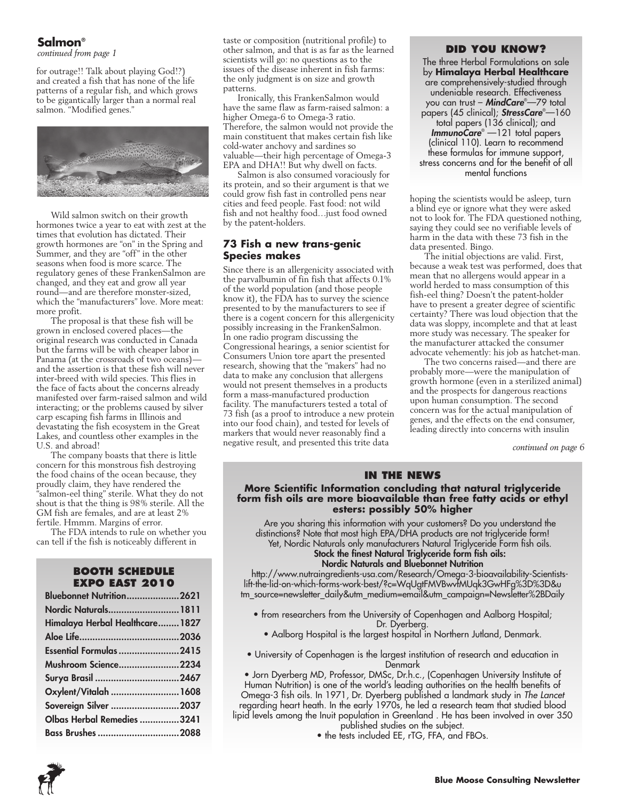### **Salmon**®

*continued from page 1*

for outrage!! Talk about playing God!?) and created a fish that has none of the life patterns of a regular fish, and which grows to be gigantically larger than a normal real salmon. "Modified genes."



Wild salmon switch on their growth hormones twice a year to eat with zest at the times that evolution has dictated. Their growth hormones are "on" in the Spring and Summer, and they are "off" in the other seasons when food is more scarce. The regulatory genes of these FrankenSalmon are changed, and they eat and grow all year round—and are therefore monster-sized, which the "manufacturers" love. More meat: more profit.

The proposal is that these fish will be grown in enclosed covered places—the original research was conducted in Canada but the farms will be with cheaper labor in Panama (at the crossroads of two oceans) and the assertion is that these fish will never inter-breed with wild species. This flies in the face of facts about the concerns already manifested over farm-raised salmon and wild interacting; or the problems caused by silver carp escaping fish farms in Illinois and devastating the fish ecosystem in the Great Lakes, and countless other examples in the U.S. and abroad!

The company boasts that there is little concern for this monstrous fish destroying the food chains of the ocean because, they proudly claim, they have rendered the "salmon-eel thing" sterile. What they do not shout is that the thing is 98% sterile. All the GM fish are females, and are at least 2% fertile. Hmmm. Margins of error.

The FDA intends to rule on whether you can tell if the fish is noticeably different in

### **Booth Schedule Expo East 2010**

| <b>Bluebonnet Nutrition2621</b> |  |
|---------------------------------|--|
| Nordic Naturals 1811            |  |
| Himalaya Herbal Healthcare 1827 |  |
|                                 |  |
| <b>Essential Formulas 2415</b>  |  |
| Mushroom Science2234            |  |
| Surya Brasil 2467               |  |
| Oxylent/Vitalah  1608           |  |
| Sovereign Silver 2037           |  |
| Olbas Herbal Remedies 3241      |  |
| Bass Brushes 2088               |  |

taste or composition (nutritional profile) to other salmon, and that is as far as the learned scientists will go: no questions as to the issues of the disease inherent in fish farms: the only judgment is on size and growth patterns.

Ironically, this FrankenSalmon would have the same flaw as farm-raised salmon: a higher Omega-6 to Omega-3 ratio. Therefore, the salmon would not provide the main constituent that makes certain fish like cold-water anchovy and sardines so valuable—their high percentage of Omega-3 EPA and DHA!! But why dwell on facts.

Salmon is also consumed voraciously for its protein, and so their argument is that we could grow fish fast in controlled pens near cities and feed people. Fast food: not wild fish and not healthy food…just food owned by the patent-holders.

### **73 Fish a new trans-genic Species makes**

Since there is an allergenicity associated with the parvalbumin of fin fish that affects 0.1% of the world population (and those people know it), the FDA has to survey the science presented to by the manufacturers to see if there is a cogent concern for this allergenicity possibly increasing in the FrankenSalmon. In one radio program discussing the Congressional hearings, a senior scientist for Consumers Union tore apart the presented research, showing that the "makers" had no data to make any conclusion that allergens would not present themselves in a products form a mass-manufactured production facility. The manufacturers tested a total of 73 fish (as a proof to introduce a new protein into our food chain), and tested for levels of markers that would never reasonably find a negative result, and presented this trite data

### **Did you know?**

The three Herbal Formulations on sale by **Himalaya Herbal Healthcare** are comprehensively-studied through undeniable research. Effectiveness you can trust – *MindCare*® —79 total papers (45 clinical); *StressCare*® —160 total papers (136 clinical); and *ImmunoCare*® —121 total papers (clinical 110). Learn to recommend these formulas for immune support, stress concerns and for the benefit of all mental functions

hoping the scientists would be asleep, turn a blind eye or ignore what they were asked not to look for. The FDA questioned nothing, saying they could see no verifiable levels of harm in the data with these 73 fish in the data presented. Bingo.

The initial objections are valid. First, because a weak test was performed, does that mean that no allergens would appear in a world herded to mass consumption of this fish-eel thing? Doesn't the patent-holder have to present a greater degree of scientific certainty? There was loud objection that the data was sloppy, incomplete and that at least more study was necessary. The speaker for the manufacturer attacked the consumer advocate vehemently: his job as hatchet-man.

The two concerns raised—and there are probably more—were the manipulation of growth hormone (even in a sterilized animal) and the prospects for dangerous reactions upon human consumption. The second concern was for the actual manipulation of genes, and the effects on the end consumer, leading directly into concerns with insulin

*continued on page 6*

### **In the News**

### **More Scientific Information concluding that natural triglyceride form fish oils are more bioavailable than free fatty acids or ethyl esters: possibly 50% higher**

Are you sharing this information with your customers? Do you understand the distinctions? Note that most high EPA/DHA products are not triglyceride form! Yet, Nordic Naturals only manufacturers Natural Triglyceride Form fish oils. Stock the finest Natural Triglyceride form fish oils:

### Nordic Naturals and Bluebonnet Nutrition

http://www.nutraingredients-usa.com/Research/Omega-3-bioavailability-Scientistslift-the-lid-on-which-forms-work-best/?c=WqUgtFMVBwvfMUqk3GwHFg%3D%3D&u tm\_source=newsletter\_daily&utm\_medium=email&utm\_campaign=Newsletter%2BDaily

- from researchers from the University of Copenhagen and Aalborg Hospital; Dr. Dyerberg.
	- Aalborg Hospital is the largest hospital in Northern Jutland, Denmark.
- University of Copenhagen is the largest institution of research and education in Denmark
- Jorn Dyerberg MD, Professor, DMSc, Dr.h.c., (Copenhagen University Institute of Human Nutrition) is one of the world's leading authorities on the health benefits of Omega-3 fish oils. In 1971, Dr. Dyerberg published a landmark study in *The Lancet*

regarding heart heath. In the early 1970s, he led a research team that studied blood lipid levels among the Inuit population in Greenland . He has been involved in over 350 published studies on the subject.

• the tests included EE, rTG, FFA, and FBOs.

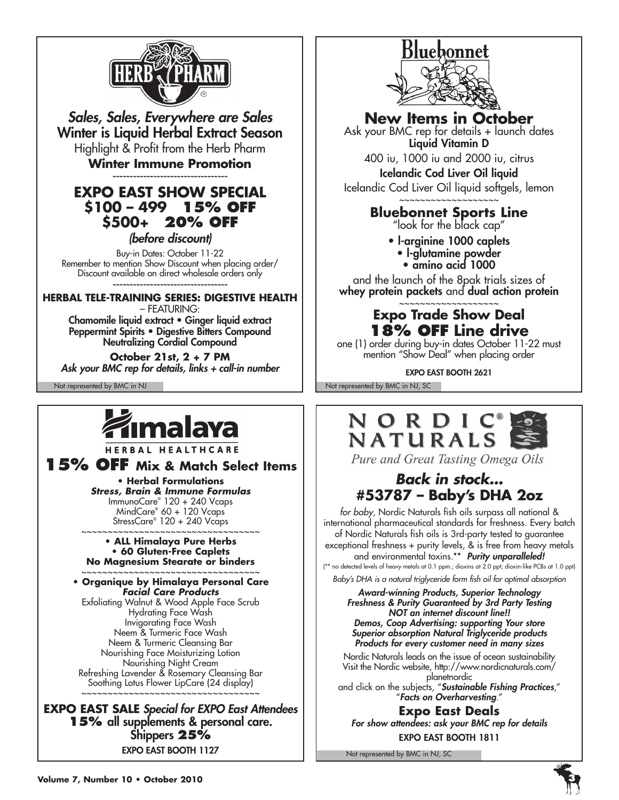

*Sales, Sales, Everywhere are Sales* Winter is Liquid Herbal Extract Season Highlight & Profit from the Herb Pharm **Winter Immune Promotion**

*~~~~~~~~~~~~~~~~~~~~~~~~~~~~~~~~~~*

## **Expo East Show Special \$100 – 499 15% off \$500+ 20% off**

*(before discount)*

Buy-in Dates: October 11-22 Remember to mention Show Discount when placing order/ Discount available on direct wholesale orders only *~~~~~~~~~~~~~~~~~~~~~~~~~~~~~~~~~~*

**HERBAL TELE-TRAINING SERIES: DIGESTIVE HEALTH** 

– FEATURING: Chamomile liquid extract • Ginger liquid extract Peppermint Spirits • Digestive Bitters Compound Neutralizing Cordial Compound

**October 21st, 2 + 7 PM** *Ask your BMC rep for details, links + call-in number*



HERBAL HEALTHCARE

**15% OFF Mix & Match Select Items**

**• Herbal Formulations** *Stress, Brain & Immune Formulas* ImmunoCare® 120 + 240 Vcaps MindCare® 60 + 120 Vcaps StressCare® 120 + 240 Vcaps

#### ~~~~~~~~~~~~~~~~~~~~~~~~~~~~~~~~~ **• ALL Himalaya Pure Herbs • 60 Gluten-Free Caplets No Magnesium Stearate or binders**

~~~~~~~~~~~~~~~~~~~~~~~~~~~~~~~~~ **• Organique by Himalaya Personal Care** *Facial Care Products* Exfoliating Walnut & Wood Apple Face Scrub Hydrating Face Wash Invigorating Face Wash Neem & Turmeric Face Wash Neem & Turmeric Cleansing Bar Nourishing Face Moisturizing Lotion Nourishing Night Cream Refreshing Lavender & Rosemary Cleansing Bar Soothing Lotus Flower LipCare (24 display) ~~~~~~~~~~~~~~~~~~~~~~~~~~~~~~~~~

**EXPO EAST SALE** *Special for EXPO East Attendees* **15%** all supplements & personal care. Shippers **25%** Expo East Booth 1127



**New Items in October**

Ask your BMC rep for details + launch dates Liquid Vitamin D 400 iu, 1000 iu and 2000 iu, citrus

Icelandic Cod Liver Oil liquid Icelandic Cod Liver Oil liquid softgels, lemon

### ~~~~~~~~~~~~~~~~~~~ **Bluebonnet Sports Line**

"look for the black cap"

- l-arginine 1000 caplets
	- l-glutamine powder • amino acid 1000

and the launch of the 8pak trials sizes of whey protein packets and dual action protein

### ~~~~~~~~~~~~~~~~~~~ **Expo Trade Show Deal 18% off Line drive**

one (1) order during buy-in dates October 11-22 must mention "Show Deal" when placing order

Expo East Booth 2621

Not represented by BMC in NJ Not represented by BMC in NJ, SC



Pure and Great Tasting Omega Oils

# *Back in stock...* **#53787 – Baby's DHA 2oz**

*for baby*, Nordic Naturals fish oils surpass all national & international pharmaceutical standards for freshness. Every batch of Nordic Naturals fish oils is 3rd-party tested to guarantee exceptional freshness + purity levels, & is free from heavy metals and environmental toxins.\*\* *Purity unparalleled!*  (\*\* no detected levels of heavy metals at 0.1 ppm.; dioxins at 2.0 ppt; dioxin-like PCBs at 1.0 ppt)

*Baby's DHA is a natural triglyceride form fish oil for optimal absorption*

*Award-winning Products, Superior Technology Freshness & Purity Guaranteed by 3rd Party Testing NOT an internet discount line!! Demos, Coop Advertising: supporting Your store Superior absorption Natural Triglyceride products Products for every customer need in many sizes*

Nordic Naturals leads on the issue of ocean sustainability Visit the Nordic website, http://www.nordicnaturals.com/ planetnordic

and click on the subjects, "*Sustainable Fishing Practices*," "*Facts on Overharvesting*."

**Expo East Deals** *For show attendees: ask your BMC rep for details* Expo East Booth 1811

Not represented by BMC in NJ, SC

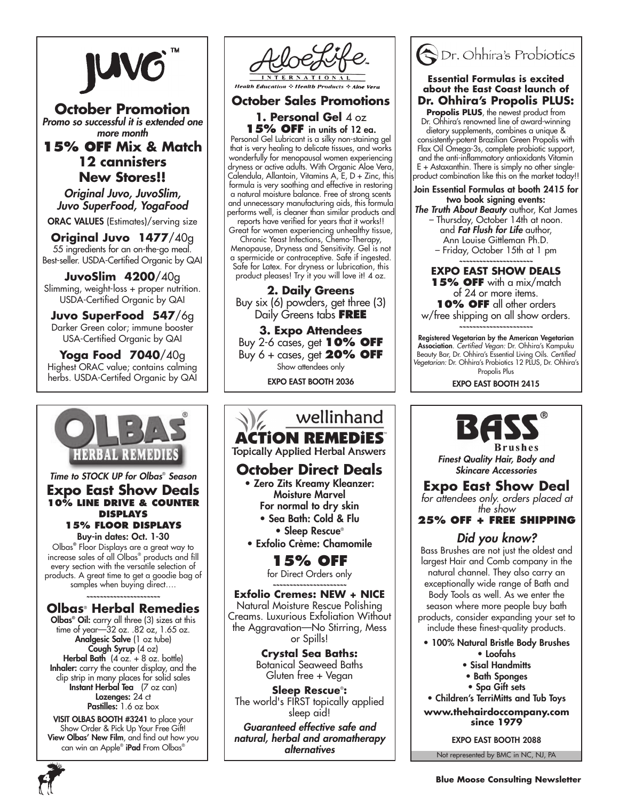

### **October Promotion** *Promo so successful it is extended one*

*more month*

## **15% Off Mix & Match 12 cannisters New Stores!!**

*Original Juvo, JuvoSlim, Juvo SuperFood, YogaFood*

ORAC VALUES (Estimates)/serving size

**Original Juvo 1477**/40g 55 ingredients for an on-the-go meal. Best-seller. USDA-Certified Organic by QAI

**JuvoSlim 4200**/40g Slimming, weight-loss + proper nutrition. USDA-Certified Organic by QAI

**Juvo SuperFood 547**/6g Darker Green color; immune booster USA-Certified Organic by QAI

**Yoga Food 7040**/40g Highest ORAC value; contains calming herbs. USDA-Certifed Organic by QAI



*Time to STOCK UP for Olbas*®  *Season* **Expo East Show Deals 10% Line Drive & Counter Displays 15% Floor Displays**

Buy-in dates: Oct. 1-30 Olbas® Floor Displays are a great way to increase sales of all Olbas® products and fill every section with the versatile selection of products. A great time to get a goodie bag of samples when buying direct….

*~~~~~~~~~~~~~~~~~~~~~~*

### **Olbas**®  **Herbal Remedies**

Olbas® Oil: carry all three (3) sizes at this time of year—32 oz. .82 oz, 1.65 oz. Analgesic Salve (1 oz tube) Cough Syrup (4 oz) **Herbal Bath**  $(4 \text{ oz.} + 8 \text{ oz.} \text{ bottle})$ **Inhaler:** carry the counter display, and the clip strip in many places for solid sales Instant Herbal Tea (7 oz can) **Lozenges: 24 ct** Pastilles: 1.6 oz box

VISIT OLBAS BOOTH #3241 to place your Show Order & Pick Up Your Free Gift! View Olbas' New Film, and find out how you can win an Apple® **iPad** From Olbas®



**October Sales Promotions**

### **1. Personal Gel** 4 oz **15% off** in units of 12 ea.

Personal Gel Lubricant is a silky non-staining gel that is very healing to delicate tissues, and works wonderfully for menopausal women experiencing dryness or active adults. With Organic Aloe Vera, Calendula, Allantoin, Vitamins A, E, D + Zinc, this formula is very soothing and effective in restoring a natural moisture balance. Free of strong scents and unnecessary manufacturing aids, this formula performs well, is cleaner than similar products and reports have verified for years that it works!!

Great for women experiencing unhealthy tissue, Chronic Yeast Infections, Chemo-Therapy, Menopause, Dryness and Sensitivity. Gel is not a spermicide or contraceptive. Safe if ingested. Safe for Latex. For dryness or lubrication, this product pleases! Try it you will love it! 4 oz.

**2. Daily Greens** Buy six (6) powders, get three (3) Daily Greens tabs **FREE**

**3. Expo Attendees** Buy 2-6 cases, get **10% off** Buy 6 + cases, get **20% off** Show attendees only

Expo East Booth 2036

### wellinhand **ACTION REMEDIES Topically Applied Herbal Answers October Direct Deals** • Zero Zits Kreamy Kleanzer: Moisture Marvel For normal to dry skin • Sea Bath: Cold & Flu • Sleep Rescue® • Exfolio Crème: Chamomile **15% OFF** for Direct Orders only *~~~~~~~~~~~~~~~~~~~~~~* **Exfolio Cremes: NEW + NICE** Natural Moisture Rescue Polishing Creams. Luxurious Exfoliation Without the Aggravation—No Stirring, Mess or Spills! **Crystal Sea Baths:** Botanical Seaweed Baths Gluten free + Vegan **Sleep Rescue**® **:**  The world's FIRST topically applied sleep aid!

*Guaranteed effective safe and natural, herbal and aromatherapy alternatives*



### **Essential Formulas is excited about the East Coast launch of Dr. Ohhira's Propolis PLUS:**

**Propolis PLUS**, the newest product from Dr. Ohhira's renowned line of award-winning dietary supplements, combines a unique & consistently-potent Brazilian Green Propolis with Flax Oil Omega-3s, complete probiotic support, and the anti-inflammatory antioxidants Vitamin  $E +$  Astaxanthin. There is simply no other singleproduct combination like this on the market today!!

Join Essential Formulas at booth 2415 for two book signing events:

*The Truth About Beauty* author, Kat James – Thursday, October 14th at noon. and *Fat Flush for Life* author, Ann Louise Gittleman Ph.D.

– Friday, October 15th at 1 pm

*~~~~~~~~~~~~~~~~~~~~~~* **Expo East Show Deals 15% off** with a mix/match of 24 or more items. **10% off** all other orders w/free shipping on all show orders.

*~~~~~~~~~~~~~~~~~~~~~~*

Registered Vegetarian by the American Vegetarian Association. *Certified Vegan:* Dr. Ohhira's Kampuku Beauty Bar, Dr. Ohhira's Essential Living Oils. *Certified Vegetarian:* Dr. Ohhira's Probiotics 12 PLUS, Dr. Ohhira's Propolis Plus

Expo East Booth 2415



*Finest Quality Hair, Body and Skincare Accessories*

## **Expo East Show Deal**

*for attendees only. orders placed at the show*

### **25% off + FREE Shipping**

### *Did you know?*

Bass Brushes are not just the oldest and largest Hair and Comb company in the natural channel. They also carry an exceptionally wide range of Bath and Body Tools as well. As we enter the season where more people buy bath products, consider expanding your set to include these finest-quality products.

• 100% Natural Bristle Body Brushes

- Loofahs
- Sisal Handmitts
- Bath Sponges
- Spa Gift sets • Children's TerriMitts and Tub Toys

**www.thehairdoccompany.com since 1979**

Expo East Booth 2088

Not represented by BMC in NC, NJ, PA

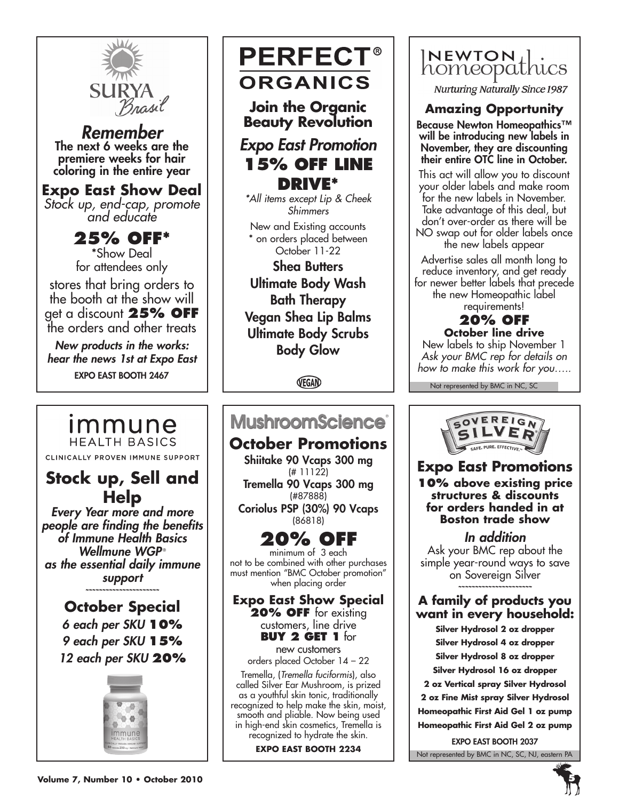

*Remember* The next 6 weeks are the premiere weeks for hair coloring in the entire year

### **Expo East Show Deal**

*Stock up, end-cap, promote and educate*

**25% off\*** \*Show Deal for attendees only stores that bring orders to the booth at the show will get a discount **25% off**  the orders and other treats

*New products in the works: hear the news 1st at Expo East* Expo East Booth 2467

**Stock up, Sell and Help** *Every Year more and more people are finding the benefits of Immune Health Basics Wellmune WGP* ® *as the essential daily immune support ~~~~~~~~~~~~~~~~~~~~~~* **October Special** *6 each per SKU* **10%** *9 each per SKU* **15%** *12 each per SKU* **20%**

CLINICALLY PROVEN IMMUNE SUPPORT

immune **HEALTH BASICS** 

# **PERFECT® ORGANICS**

**Join the Organic Beauty Revolution**

# *Expo East Promotion* **15% off Line drive\***

*\*All items except Lip & Cheek Shimmers*

New and Existing accounts \* on orders placed between October 11-22

Shea Butters Ultimate Body Wash Bath Therapy Vegan Shea Lip Balms Ultimate Body Scrubs Body Glow

VEGAN

# **MushroomScience®**

**October Promotions** Shiitake 90 Vcaps 300 mg

(# 11122) Tremella 90 Vcaps 300 mg (#87888)

Coriolus PSP (30%) 90 Vcaps (86818)

# **20% off**

minimum of 3 each not to be combined with other purchases must mention "BMC October promotion" when placing order

**Expo East Show Special 20% off** for existing customers, line drive **Buy 2 get 1** for new customers

orders placed October 14 – 22

Tremella, (*Tremella fuciformis*), also called Silver Ear Mushroom, is prized as a youthful skin tonic, traditionally recognized to help make the skin, moist, smooth and pliable. Now being used in high-end skin cosmetics, Tremella is recognized to hydrate the skin.

**Expo East Booth 2234**



**Nurturing Naturally Since 1987** 

# **Amazing Opportunity**

Because Newton Homeopathics™ will be introducing new labels in November, they are discounting their entire OTC line in October.

This act will allow you to discount your older labels and make room for the new labels in November. Take advantage of this deal, but don't over-order as there will be NO swap out for older labels once the new labels appear

Advertise sales all month long to reduce inventory, and get ready for newer better labels that precede the new Homeopathic label requirements!

# **20% off**

**October line drive** New labels to ship November 1 *Ask your BMC rep for details on how to make this work for you…..*

Not represented by BMC in NC, SC



## **Expo East Promotions**

**10% above existing price structures & discounts for orders handed in at Boston trade show**

*In addition*

Ask your BMC rep about the simple year-round ways to save on Sovereign Silver *~~~~~~~~~~~~~~~~~~~~~~*

### **A family of products you want in every household:**

**Silver Hydrosol 2 oz dropper Silver Hydrosol 4 oz dropper Silver Hydrosol 8 oz dropper Silver Hydrosol 16 oz dropper 2 oz Vertical spray Silver Hydrosol 2 oz Fine Mist spray Silver Hydrosol Homeopathic First Aid Gel 1 oz pump Homeopathic First Aid Gel 2 oz pump**

Not represented by BMC in NC, SC, NJ, eastern PA Expo East Booth 2037

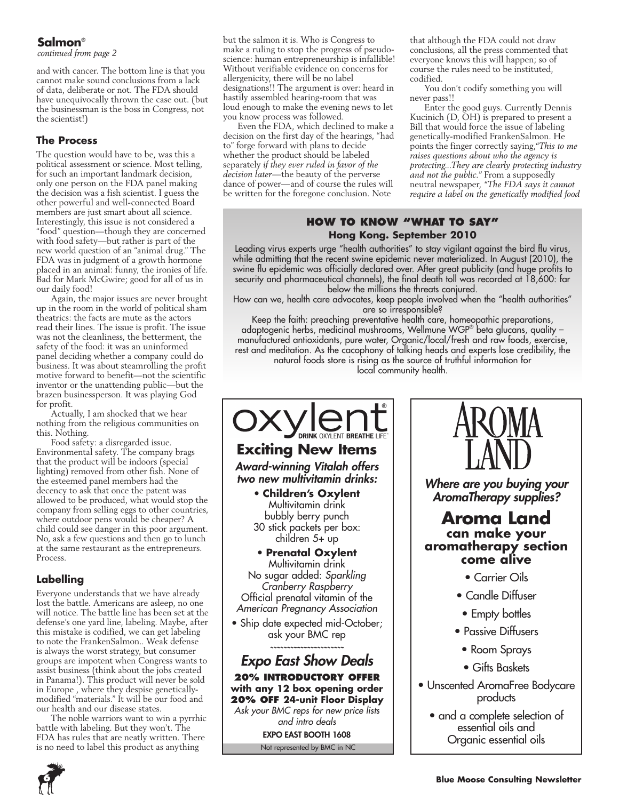### **Salmon**®

*continued from page 2*

and with cancer. The bottom line is that you cannot make sound conclusions from a lack of data, deliberate or not. The FDA should have unequivocally thrown the case out. (but the businessman is the boss in Congress, not the scientist!)

### **The Process**

The question would have to be, was this a political assessment or science. Most telling, for such an important landmark decision, only one person on the FDA panel making the decision was a fish scientist. I guess the other powerful and well-connected Board members are just smart about all science. Interestingly, this issue is not considered a "food" question—though they are concerned with food safety—but rather is part of the new world question of an "animal drug." The FDA was in judgment of a growth hormone placed in an animal: funny, the ironies of life. Bad for Mark McGwire; good for all of us in our daily food!

Again, the major issues are never brought up in the room in the world of political sham theatrics: the facts are mute as the actors read their lines. The issue is profit. The issue was not the cleanliness, the betterment, the safety of the food: it was an uninformed panel deciding whether a company could do business. It was about steamrolling the profit motive forward to benefit—not the scientific inventor or the unattending public—but the brazen businessperson. It was playing God for profit.

Actually, I am shocked that we hear nothing from the religious communities on this. Nothing.

Food safety: a disregarded issue. Environmental safety. The company brags that the product will be indoors (special lighting) removed from other fish. None of the esteemed panel members had the decency to ask that once the patent was allowed to be produced, what would stop the company from selling eggs to other countries, where outdoor pens would be cheaper? A child could see danger in this poor argument. No, ask a few questions and then go to lunch at the same restaurant as the entrepreneurs. Process.

### **Labelling**

Everyone understands that we have already lost the battle. Americans are asleep, no one will notice. The battle line has been set at the defense's one yard line, labeling. Maybe, after this mistake is codified, we can get labeling to note the FrankenSalmon.. Weak defense is always the worst strategy, but consumer groups are impotent when Congress wants to assist business (think about the jobs created in Panama!). This product will never be sold in Europe , where they despise geneticallymodified "materials." It will be our food and our health and our disease states.

The noble warriors want to win a pyrrhic battle with labeling. But they won't. The FDA has rules that are neatly written. There is no need to label this product as anything

but the salmon it is. Who is Congress to make a ruling to stop the progress of pseudoscience: human entrepreneurship is infallible! Without verifiable evidence on concerns for allergenicity, there will be no label designations!! The argument is over: heard in hastily assembled hearing-room that was loud enough to make the evening news to let you know process was followed.

Even the FDA, which declined to make a decision on the first day of the hearings, "had to" forge forward with plans to decide whether the product should be labeled separately *if they ever ruled in favor of the decision later—*the beauty of the perverse dance of power—and of course the rules will be written for the foregone conclusion. Note

that although the FDA could not draw conclusions, all the press commented that everyone knows this will happen; so of course the rules need to be instituted, codified.

You don't codify something you will never pass!!

Enter the good guys. Currently Dennis Kucinich (D, OH) is prepared to present a Bill that would force the issue of labeling genetically-modified FrankenSalmon. He points the finger correctly saying,*"This to me raises questions about who the agency is protecting...They are clearly protecting industry and not the public."* From a supposedly neutral newspaper, *"The FDA says it cannot require a label on the genetically modified food* 

### **How to Know "What to say" Hong Kong. September 2010**

Leading virus experts urge "health authorities" to stay vigilant against the bird flu virus, while admitting that the recent swine epidemic never materialized. In August (2010), the swine flu epidemic was officially declared over. After great publicity (and huge profits to security and pharmaceutical channels), the final death toll was recorded at 18,600: far below the millions the threats conjured.

How can we, health care advocates, keep people involved when the "health authorities" are so irresponsible?

Keep the faith: preaching preventative health care, homeopathic preparations, adaptogenic herbs, medicinal mushrooms, Wellmune WGP® beta glucans, quality – manufactured antioxidants, pure water, Organic/local/fresh and raw foods, exercise, rest and meditation. As the cacophony of talking heads and experts lose credibility, the natural foods store is rising as the source of truthful information for local community health.



Not represented by BMC in NC *Ask your BMC reps for new price lists and intro deals* Expo East Booth 1608



*Where are you buying your AromaTherapy supplies?*

### **Aroma Land can make your aromatherapy section come alive**

- Carrier Oils
- Candle Diffuser
- Empty bottles
- Passive Diffusers
- Room Sprays
- Gifts Baskets
- Unscented AromaFree Bodycare products
	- and a complete selection of essential oils and Organic essential oils

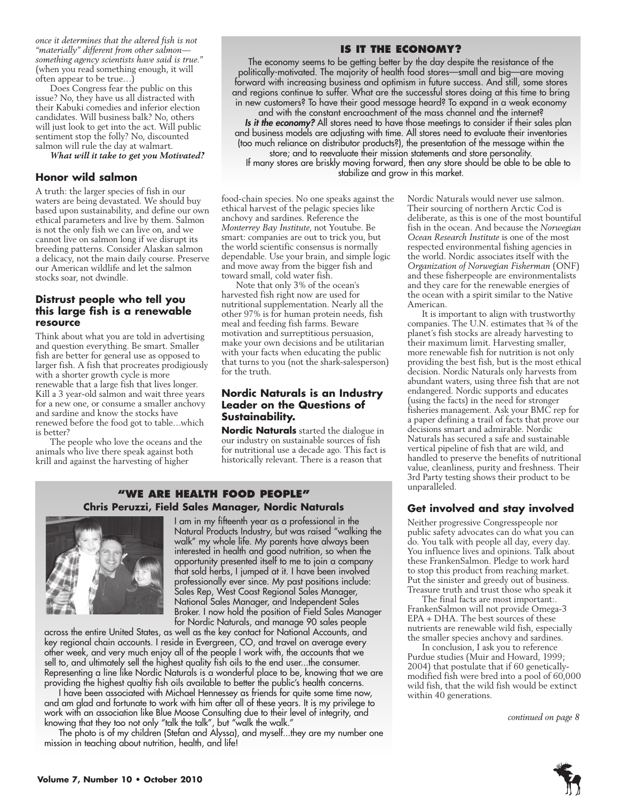*once it determines that the altered fish is not "materially" different from other salmon something agency scientists have said is true."* (when you read something enough, it will often appear to be true…)

Does Congress fear the public on this issue? No, they have us all distracted with their Kabuki comedies and inferior election candidates. Will business balk? No, others will just look to get into the act. Will public sentiment stop the folly? No, discounted salmon will rule the day at walmart.

*What will it take to get you Motivated?*

#### **Honor wild salmon**

A truth: the larger species of fish in our waters are being devastated. We should buy based upon sustainability, and define our own ethical parameters and live by them. Salmon is not the only fish we can live on, and we cannot live on salmon long if we disrupt its breeding patterns. Consider Alaskan salmon a delicacy, not the main daily course. Preserve our American wildlife and let the salmon stocks soar, not dwindle.

### **Distrust people who tell you this large fish is a renewable resource**

Think about what you are told in advertising and question everything. Be smart. Smaller fish are better for general use as opposed to larger fish. A fish that procreates prodigiously with a shorter growth cycle is more renewable that a large fish that lives longer. Kill a 3 year-old salmon and wait three years for a new one, or consume a smaller anchovy and sardine and know the stocks have renewed before the food got to table…which is better?

The people who love the oceans and the animals who live there speak against both krill and against the harvesting of higher

### **Is it the economy?**

The economy seems to be getting better by the day despite the resistance of the politically-motivated. The majority of health food stores—small and big—are moving forward with increasing business and optimism in future success. And still, some stores and regions continue to suffer. What are the successful stores doing at this time to bring in new customers? To have their good message heard? To expand in a weak economy and with the constant encroachment of the mass channel and the internet? *Is it the economy?* All stores need to have those meetings to consider if their sales plan and business models are adjusting with time. All stores need to evaluate their inventories (too much reliance on distributor products?), the presentation of the message within the store; and to reevaluate their mission statements and store personality. If many stores are briskly moving forward, then any store should be able to be able to

stabilize and grow in this market.

food-chain species. No one speaks against the ethical harvest of the pelagic species like anchovy and sardines. Reference the *Monterrey Bay Institute*, not Youtube. Be smart: companies are out to trick you, but the world scientific consensus is normally dependable. Use your brain, and simple logic and move away from the bigger fish and toward small, cold water fish.

Note that only 3% of the ocean's harvested fish right now are used for nutritional supplementation. Nearly all the other 97% is for human protein needs, fish meal and feeding fish farms. Beware motivation and surreptitious persuasion, make your own decisions and be utilitarian with your facts when educating the public that turns to you (not the shark-salesperson) for the truth.

### **Nordic Naturals is an Industry Leader on the Questions of Sustainability.**

**Nordic Naturals** started the dialogue in our industry on sustainable sources of fish for nutritional use a decade ago. This fact is historically relevant. There is a reason that

### **"We Are health food people" Chris Peruzzi, Field Sales Manager, Nordic Naturals**



I am in my fifteenth year as a professional in the Natural Products Industry, but was raised "walking the walk" my whole life. My parents have always been interested in health and good nutrition, so when the opportunity presented itself to me to join a company that sold herbs, I jumped at it. I have been involved professionally ever since. My past positions include: Sales Rep, West Coast Regional Sales Manager, National Sales Manager, and Independent Sales Broker. I now hold the position of Field Sales Manager for Nordic Naturals, and manage 90 sales people

across the entire United States, as well as the key contact for National Accounts, and key regional chain accounts. I reside in Evergreen, CO, and travel on average every other week, and very much enjoy all of the people I work with, the accounts that we sell to, and ultimately sell the highest quality fish oils to the end user...the consumer. Representing a line like Nordic Naturals is a wonderful place to be, knowing that we are providing the highest qualtiy fish oils available to better the public's health concerns.

I have been associated with Michael Hennessey as friends for quite some time now, and am glad and fortunate to work with him after all of these years. It is my privilege to work with an association like Blue Moose Consulting due to their level of integrity, and knowing that they too not only "talk the talk", but "walk the walk."

The photo is of my children (Stefan and Alyssa), and myself...they are my number one mission in teaching about nutrition, health, and life!

Nordic Naturals would never use salmon. Their sourcing of northern Arctic Cod is deliberate, as this is one of the most bountiful fish in the ocean. And because the *Norwegian Ocean Research Institute* is one of the most respected environmental fishing agencies in the world. Nordic associates itself with the *Organization of Norwegian Fisherman* (ONF) and these fisherpeople are environmentalists and they care for the renewable energies of the ocean with a spirit similar to the Native American.

It is important to align with trustworthy companies. The U.N. estimates that ¾ of the planet's fish stocks are already harvesting to their maximum limit. Harvesting smaller, more renewable fish for nutrition is not only providing the best fish, but is the most ethical decision. Nordic Naturals only harvests from abundant waters, using three fish that are not endangered. Nordic supports and educates (using the facts) in the need for stronger fisheries management. Ask your BMC rep for a paper defining a trail of facts that prove our decisions smart and admirable. Nordic Naturals has secured a safe and sustainable vertical pipeline of fish that are wild, and handled to preserve the benefits of nutritional value, cleanliness, purity and freshness. Their 3rd Party testing shows their product to be unparalleled.

### **Get involved and stay involved**

Neither progressive Congresspeople nor public safety advocates can do what you can do. You talk with people all day, every day. You influence lives and opinions. Talk about these FrankenSalmon. Pledge to work hard to stop this product from reaching market. Put the sinister and greedy out of business. Treasure truth and trust those who speak it

The final facts are most important:. FrankenSalmon will not provide Omega-3 EPA + DHA. The best sources of these nutrients are renewable wild fish, especially the smaller species anchovy and sardines.

In conclusion, I ask you to reference Purdue studies (Muir and Howard, 1999; 2004) that postulate that if 60 geneticallymodified fish were bred into a pool of 60,000 wild fish, that the wild fish would be extinct within 40 generations.

*continued on page 8*